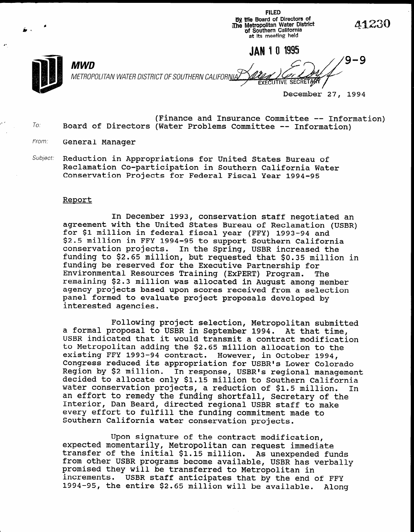**FILED** By the Board of Directors of<br>The Metropolitan Water District<br>of Southern California at its meeting held

JAN 1 0 1995. MWD 9-9 METROPOLITAN WATER DISTRICT OF SOUTHERN CALIFORNIA **EXECUTIVE SECRETAR** 

December 27, 1994

- $To:$ (Finance and Insurance Committee -- Information) Board of Directors (Water Problems Committee -- Information)
- From: General Manager
- Subject: Reduction in Appropriations for United States Bureau of Reclamation Co-participation in Southern California Water Conservation Projects for Federal Fiscal Year 1994-95

#### Report

In December 1993, conservation staff negotiated an agreement with the United States Bureau of Reclamation (USBR) for \$1 million in federal fiscal year (FFY) 1993-94 and \$2.5 million in FFY 1994-95 to support Southern California conservation projects. In the Spring, USBR increased the conservation projects. The the spring, ospit filtheased the<br>funding to \$2.65 million, but requested that \$0.35 million in funding be reserved for the Executive Partnership for funding be reserved for the Executive Partnership for<br>Environmental Resources Training (ExPERT) Program. The environmental kesources iraining (EXPERT) Program. The remaining projects based was allocated in August among memm agency projects based upon scores received from a selection panel formed to evaluate project proposals developed by interested agencies.

Following project selection, Metropolitan submitted a formal proposal to USBR in September 1994. At that time, a formal proposal to USBR in September 1994. At that time, USBR indicated that it would transmit a contract modification to Metropolitan adding the \$2.65 million allocation to the existing FFY 1993-94 contract. However, in October 1994, Congress reduced its appropriation for USBR's Lower Colorado Region by \$2 million. In response, USBR's regional manage decided to allocate only \$1.15 million to Southern California water conservation projects, a reduction of \$1.5 million. In an effort to remedy the funding shortfall, Secretary of the Interior, Dan Beard, directed regional USBR staff to make every effort to fulfill the funding commitment made to Southern California water conservation projects.

Upon signature of the contract modification. expected momentarily, Metropolitan can request immediate transfer of the initial \$1.15 million. As unexpended fund from other USBR programs become available, USBR has verbally promised they will be transferred to Metropolitan in increments. USBR staff anticipates that by the end of FFY<br>1994-95, the entire \$2.65 million will be available. Along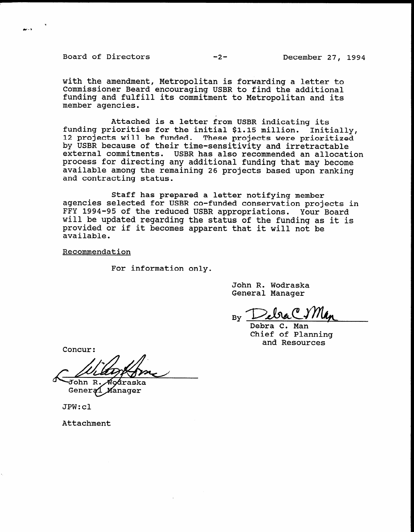Board of Directors -2- December 27, 1994

وربيط

with the amendment, Metropolitan is forwarding a letter to Commissioner Beard encouraging USBR to find the additional funding and fulfill its commitment to Metropolitan and its member agencies.

Attached is a letter from USBR indicating its funding priorities for the initial \$1.15 million. Thumbury processes for the inferred price military inter-<br>12 projects will be funded. These projects were priorit Initially, by USBR because of their time-sensitivity and irretractable external commitments. USBR has also recommended an allocation process for directing any additional funding that may become available among the remaining 26 projects based upon ranking and contracting status.

Staff has prepared a letter notifying member agencies selected for USBR co-funded conservation projects in FFY 1994-95 of the reduced USBR appropriations. Your Board will be updated regarding the status of the funding as it is provided or if it becomes apparent that it will not be proviue<br>Proviue

Recommendation

For information only.

John R. Wodraska General Manager

 $\frac{D\sqrt{D}}{D}$ 

Debra C. Man<br>Chief of Planning Chief of Planning<br>and Resources

Concur:

oáraska

John R.<br>Genera∕l Manager

JPW:cl

Attachment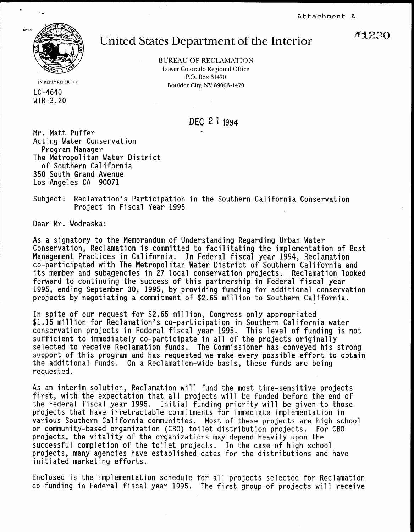Attachment A



## United States Department of the Interior

BUREAU OF RECLAMATION Lower Colorado Regional Office P.O. Box 61470 Boulder City, NV 89096-1470

IN REPLY REFER TO: LC-4640 WTR-3.20

DEC 21 1994

Mr. Matt Puffer Acting Water Conservation Program Manager The Metropolitan Water District of Southern California 350 South Grand Avenue Los Angeles CA 90071

Subject: Reclamation's Participation in the Southern California Conservation Project in Fiscal Year 1995

Dear Mr. Wodraska:

As a signatory to the Memorandum of Understanding Regarding Urban Water Conservation, Reclamation is committed to facilitating the implementation of Best Management Practices in California. In Federal fiscal year 1994, Reclamation co-participated with The Metropolitan Water District of Southern California and its member and subagencies in 27 local conservation projects. Reclamation looked forward to continuing the success of this partnership in Federal fiscal year 1995, ending September 30, 1995, by providing funding for additional conservation projects by negotiating a commitment of \$2.65 million to Southern California.

In spite of our request for \$2.65 million, Congress only appropriated \$1.15 million for Reclamation's co-participation in Southern California water  $\frac{1}{2}$ . The conservation projects in Federal field  $\frac{1}{2}$  is not fund to fund the set of  $\frac{1}{2}$  is not fund to fund the set of funding is not fund to fund the set of funding is not fund to fund the set of funding  $\frac{1}{2}$ sufficient to immediate in a large in all of the projects of the projects of the projects of the projects of the projects of the projects of the projects of the projects of the projects of the projects of the pro sufficient to immediately co-participate in all of the projects originally selected to receive Reclamation funds. The Commissioner has conveyed his strong support of this program and has requested we make every possible effort to obtain the additional funds. On a Reclamation-wide basis, these funds are being<br>requested.

 $A$ s an interim solution, Reclamation will fund the most time-sensitive projects the most time-sensitive projects As an interim solution, Reclamation will fund the most time-sensitive projects first, with the expectation that all projects will be funded before the end of the Federal fiscal year 1995. Initial funding priority will be given to those projects that have irretractable commitments for immediate implementation in various Southern California communities. Most of these projects are high school or community-based organization (CBO) toilet distribution projects. For CBO projects, the vitality of the organizations may depend heavily upon the successful completion of the toilet projects. In the case of high school projects, many agencies have established dates for the distributions and have initiated marketing efforts.

Enclosed is the implementation schedule for all projects selected for Reclamation<br>co-funding in Federal fiscal year 1995. The first group of projects will receive

41230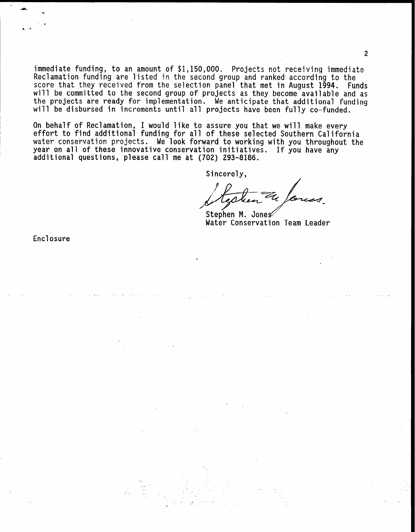immediate funding, to an amount of \$1,150,000. Projects not receiving immediate Reclamation funding are listed in the second group and ranked according to the score that they received from the selection panel that met in August 1994. Funds will be committed to the second group of projects as they become available and as the projects are ready for implementation. We anticipate that additional funding will be disbursed in increments until all projects have been fully co-funded.

On behalf of Reclamation, I would like to assure you that we will make every effort to find additional funding for all of these selected Southern California water conservation projects. We look forward to working with you throughout the year on all of these innovative conservation initiatives. If you have any additional questions, please call me at (702) 293-8186.

Sincerely,

Stephen M. Jones Water Conservation Team Leader

Enclosure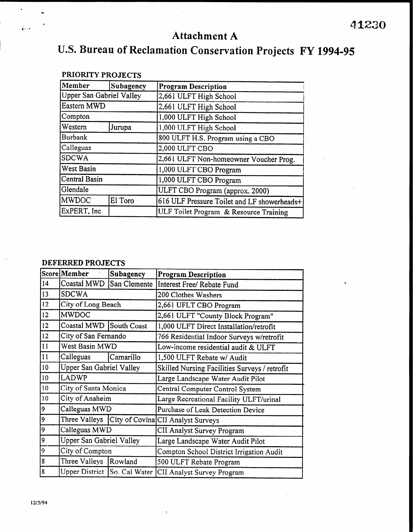### Attachment A

# U.S. Bureau of Reclamation Conservation Projects FY 1994-95

| Member                   | Subagency | <b>Program Description</b>                  |  |
|--------------------------|-----------|---------------------------------------------|--|
| Upper San Gabriel Valley |           | 2,661 ULFT High School                      |  |
| Eastern MWD              |           | 2,661 ULFT High School                      |  |
| Compton                  |           | 1,000 ULFT High School                      |  |
| Western                  | Jurupa    | 1,000 ULFT High School                      |  |
| <b>Burbank</b>           |           | 800 ULFT H.S. Program using a CBO           |  |
| Calleguas                |           | 2,000 ULFT CBO                              |  |
| <b>SDCWA</b>             |           | 2,661 ULFT Non-homeowner Voucher Prog.      |  |
| West Basin               |           | 1,000 ULFT CBO Program                      |  |
| Central Basin            |           | 1,000 ULFT CBO Program                      |  |
| Glendale                 |           | ULFT CBO Program (approx. 2000)             |  |
| <b>MWDOC</b>             | El Toro   | 616 ULF Pressure Toilet and LF showerheads+ |  |
| ExPERT, Inc              |           | ULF Toilet Program & Resource Training      |  |

#### PRIORITY PROJECTS

 $\mathcal{L}_{\text{eff}} = \frac{1}{\sqrt{2}}$ 

#### DEFERRED PROJECTS

|    | Score Member                    | Subagency    | <b>Program Description</b>                                  |
|----|---------------------------------|--------------|-------------------------------------------------------------|
| 14 | Coastal MWD                     | San Clemente | Interest Free/ Rebate Fund                                  |
| 13 | <b>SDCWA</b>                    |              | 200 Clothes Washers                                         |
| 12 | City of Long Beach              |              | 2,661 UFLT CBO Program                                      |
| 12 | <b>MWDOC</b>                    |              | 2,661 ULFT "County Block Program"                           |
| 12 | Coastal MWD South Coast         |              | 1,000 ULFT Direct Installation/retrofit                     |
| 12 | City of San Fernando            |              | 766 Residential Indoor Surveys w/retrofit                   |
| 11 | West Basin MWD                  |              | Low-income residential audit & ULFT                         |
| 11 | Calleguas                       | Camarillo    | 1,500 ULFT Rebate w/ Audit                                  |
| 10 | <b>Upper San Gabriel Valley</b> |              | Skilled Nursing Facilities Surveys / retrofit               |
| 10 | <b>LADWP</b>                    |              | Large Landscape Water Audit Pilot                           |
| 10 | City of Santa Monica            |              | Central Computer Control System                             |
| 10 | City of Anaheim                 |              | Large Recreational Facility ULFT/urinal                     |
| 9  | Calleguas MWD                   |              | Purchase of Leak Detection Device                           |
| 9  |                                 |              | Three Valleys   City of Covina CII Analyst Surveys          |
| 9  | Calleguas MWD                   |              | CII Analyst Survey Program                                  |
| 9  | Upper San Gabriel Valley        |              | Large Landscape Water Audit Pilot                           |
| 9  | City of Compton                 |              | Compton School District Irrigation Audit                    |
| 8  | Three Valleys Rowland           |              | 500 ULFT Rebate Program                                     |
| 8  |                                 |              | Upper District   So. Cal Water   CII Analyst Survey Program |